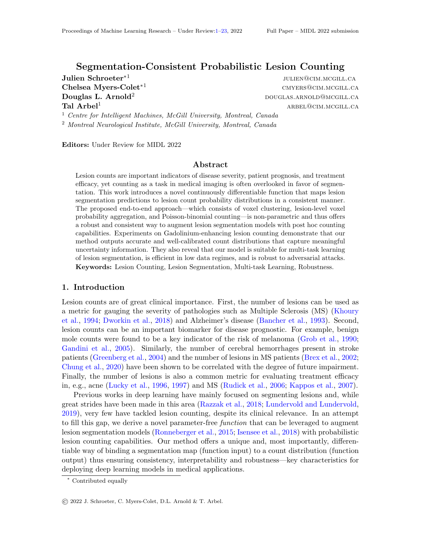# Segmentation-Consistent Probabilistic Lesion Counting

Julien Schroeter $^{\ast1}$ 

julien@cim.mcgill.ca  $\mathbf{Chelsea\ Myers-Colet^{*1}}$  cmyers-Colet $^*$ <sup>1</sup>  $\bf{Douglas\ L.\ Arnold^2$  douglas.arnold@mcgill.ca  $\rm \bf Tal \; Arbel^1$  arbeits arbitrary  $\rm ARBEL@CIM.MCGILLCA$ 

<sup>1</sup> Centre for Intelligent Machines, McGill University, Montreal, Canada <sup>2</sup> Montreal Neurological Institute, McGill University, Montreal, Canada

Editors: Under Review for MIDL 2022

#### Abstract

Lesion counts are important indicators of disease severity, patient prognosis, and treatment efficacy, yet counting as a task in medical imaging is often overlooked in favor of segmentation. This work introduces a novel continuously differentiable function that maps lesion segmentation predictions to lesion count probability distributions in a consistent manner. The proposed end-to-end approach—which consists of voxel clustering, lesion-level voxel probability aggregation, and Poisson-binomial counting—is non-parametric and thus offers a robust and consistent way to augment lesion segmentation models with post hoc counting capabilities. Experiments on Gadolinium-enhancing lesion counting demonstrate that our method outputs accurate and well-calibrated count distributions that capture meaningful uncertainty information. They also reveal that our model is suitable for multi-task learning of lesion segmentation, is efficient in low data regimes, and is robust to adversarial attacks. Keywords: Lesion Counting, Lesion Segmentation, Multi-task Learning, Robustness.

#### 1. Introduction

Lesion counts are of great clinical importance. First, the number of lesions can be used as a metric for gauging the severity of pathologies such as Multiple Sclerosis (MS) (Khoury et al., 1994; Dworkin et al., 2018) and Alzheimer's disease (Bancher et al., 1993). Second, lesion counts can be an important biomarker for disease prognostic. For example, benign mole counts were found to be a key indicator of the risk of melanoma (Grob et al., 1990; Gandini et al., 2005). Similarly, the number of cerebral hemorrhages present in stroke patients (Greenberg et al., 2004) and the number of lesions in MS patients (Brex et al., 2002; Chung et al., 2020) have been shown to be correlated with the degree of future impairment. Finally, the number of lesions is also a common metric for evaluating treatment efficacy in, e.g., acne (Lucky et al., 1996, 1997) and MS (Rudick et al., 2006; Kappos et al., 2007).

Previous works in deep learning have mainly focused on segmenting lesions and, while great strides have been made in this area (Razzak et al., 2018; Lundervold and Lundervold, 2019), very few have tackled lesion counting, despite its clinical relevance. In an attempt to fill this gap, we derive a novel parameter-free *function* that can be leveraged to augment lesion segmentation models (Ronneberger et al., 2015; Isensee et al., 2018) with probabilistic lesion counting capabilities. Our method offers a unique and, most importantly, differentiable way of binding a segmentation map (function input) to a count distribution (function output) thus ensuring consistency, interpretability and robustness—key characteristics for deploying deep learning models in medical applications.

<sup>∗</sup> Contributed equally

<sup>©</sup> 2022 J. Schroeter, C. Myers-Colet, D.L. Arnold & T. Arbel.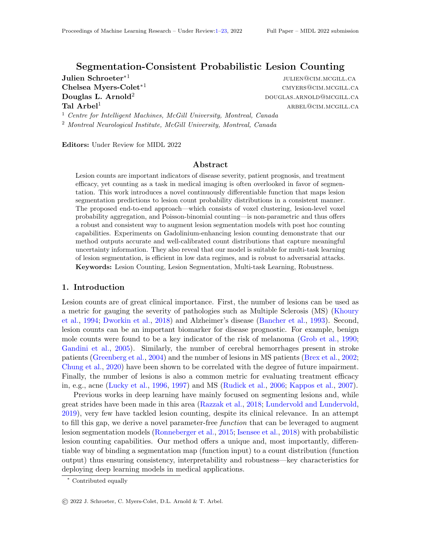#### Schroeter Myers-Colet Arnold Arbel



Figure 1: Method overview. Boxed numbers refer to subsections in Section 3.1 (3.1.x).

### 2. Related Work

Lesion Counting is often performed as a post-processing operation applied to lesion segmentation outputs; typically by 1) binarizing the segmentation map through thresholding before2) counting the number of connected components on it. Variations of this framework are used to compute counting-based metrics in lesion segmentation challenges (Commowick et al., 2021; Timmins et al., 2021) or infer MS lesion counts (Dworkin et al., 2018). Though simple to deploy, the non-di erentiability of this counting approach makes it unsuitable for gradient-based training. Naturally, several parametric models have also been proposed recently: e.g., deep count regression model (Dubost et al., 2020; Han et al., 2021), patch-wise classi cation model (Betz-Stablein et al., 2021). However, while di erentiable, these models are inherently less interpretable and less robust due to their highly-parametrized nature.

In contrast, our proposed segmentation-based counting function is bothdi erentiable and non-parametric thus oering a robust, interpretable and backpropagatable alternative.

Multi-task Learning is a common training scheme involving the simultaneous learning of multiple related tasks (Ruder, 2017). In medical imaging, many approaches have been proposed to combine pixel-level (segmentation) and image-level (classication) labels. Overall, the main modeling dierence resides in the number of parameters shared among tasks. For instance, recent works have found success in placing a classication head at the bottleneck layer of a UNet (Wang et al., 2018; Le et al., 2019; Amyar et al., 2020; Zhou et al., 2021). Of course, a greater overlap in shared parameters can also be implemented, thus implicitly imposing a higher constraint on the segmentation network to extract relevant representations for the classier. For example, Mlynarski et al. (2019) improved performance on brain tumor segmentation when classifying diseased brains at the second-to-last layer of a UNet, while Chen et al. (2019) leveraged both local bottleneck and top-level representations for melanoma detection. Finally, downstream classication models add layers directly on top of the segmentation output (Yu et al., 2016; Al-Masni et al., 2020; Khan et al., 2020, 2021).

In contrast, the counting and segmentation streams of our approach sharall model parameters. We posit that this one-to-one correspondence ensures greater consistency between the predictions of the two tasks (see Section 4.2).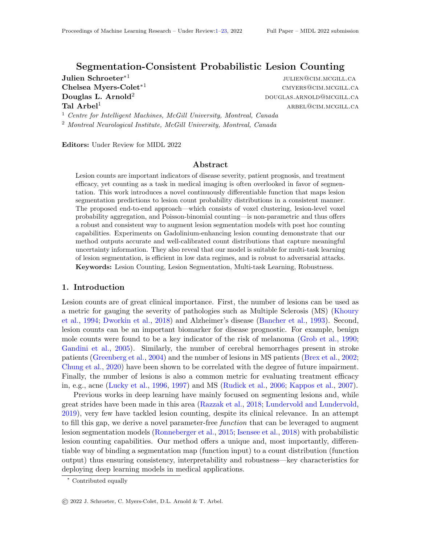## 3. Method

In this work, we propose a novel probabilistic and continuously di erentiable function that coherently maps lesion segmentation outputs to lesion count distributions. Most notably, our mapping is parameter-free thus ensuring a hardconsistencybetween segmentation outputs and count predictions unlike standard parametric multi-task approaches (Wang et al., 2018; Mlynarski et al., 2019; Tschandl et al., 2019; Al-Masni et al., 2020) where the segmentation and classi cation heads might produce contradictory results.

## 3.1. Poisson-binomial Lesion Counting

The starting point of this work is set in a framework that is ubiquitous in medical instance segmentation (Pehrson et al., 2019; Taghanaki et al., 2021): a segmentation model with trainable parameters maps an input image X to a segmentation output S of the same sizeli.e.,  $S = f(X)$ . More importantly, it is assumed that the value of each voxely of S is an estimate of the probability of the corresponding voxel ofX belonging to a lesion. In other words, the modelf estimatesp( $V_i = 1$ jX), where  $V_i$  is the random variable indicating whether the voxel  $v_i$  is part of a lesion. (For clarity, we now drop the dependence onX .)

In this section, we present how a lesion segmentation ma $\mathfrak{B}$  can be mapped to a discrete count distribution C that fully captures the number of instances in the input image|according to the segmentation model f . The approach is summarized in Figure 1.

## 3.1.1. Lesion Candidate Identification

Counting the number of lesions in a segmentation mapS requires the identication of individual lesions from the background (e.g., healthy tissue) and, most importantly, from one another. Intuitively, compact clusters of higher-probability voxels in S are clear indicators of the model's degree of con dence about the potential existence of a lesion in the region. The rst step towards lesion counting thus consists in spatially partitioning the voxels f  $v_1$ ;  $v_2$ ; :::;  $v_N$  g constituting the segmentation map S into disjoint candidate regions R<sub>k</sub> in such a way that each region contains at most one of such cluster  $\frac{1}{2}$ .

While many alternatives exist to perform this spatial clustering (Han and Uyyanonvara, 2016; Ibrahim and El-kenawy, 2020), we opt for an approach prevalent in medical instance segmentation (Wang et al., 2016; Han, 2017; Nakao et al., 2018; Cui et al., 2019), namely identifying connected components on the segmentation ma $\mathfrak{B}$  after binarization. In contrast to standard approaches, we suggest performing the binarization with a low threshold to avoid discarding any potential lesions. Of course, any prior knowledge about what constitutes a valid lesion|e.g., minimum size (Baumgartner et al., 2021; Commowick et al., 2021)|can be utilized at this stage to rene the selection of lesion candidates.

Overall, this rst step of our approach maps the segmentation mapS to a set of disjoint candidate regionsfR  $_1$ ; R<sub>1</sub>; :::; R<sub>K</sub> g.

## 3.1.2. Lesion Candidates ! Lesion Existence Probabilities

The sets  $R_k$  represent regions of the image that might contain a lesion according to the segmentation modelf . Since the existence of a lesion within these clusters is not certain, we assign to each regior  $k_k$  an underlying random variable  $R_k$  indicating whether it actually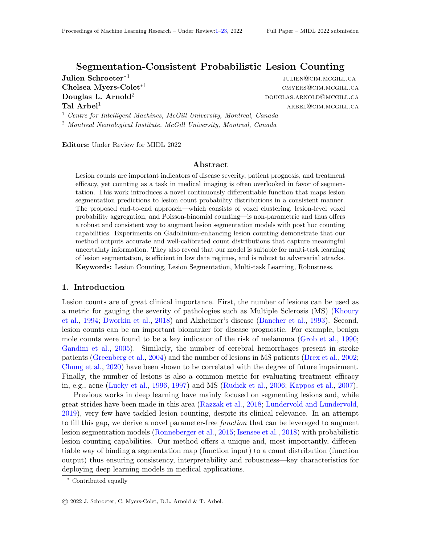contains a lesion. In terms of modeling, the lesion-level existence probabilities  $(R<sub>i</sub> = 1)$  are intrinsically linked to the lower-level voxel probability estimates  $p (V<sub>i</sub> = 1)$  outputted by the segmentation model. Indeed, a cluster of voxels that all have low probabilities is inherently less likely to contain a lesion than a region with voxel probabilities closer to1. In fact, Bayes Theorem captures the relationship between these random variables:

$$
p(V_i = 1) = \frac{p(V_i = 1 j R_k = 1)}{p(R_k = 1 j V_i = 1)} p(R_k = 1): \qquad (1)
$$

This equation can be simplied further in many scenarios. For instance, it is trivial that if a voxel  $v_i$  is part of a lesion, then the region  $R_k$  to which it is assigned contains a lesion, i.e.,  $p(R_k = 1)V_i = 1$  = 1, if  $v_i \ge R_k$ . As a result, based on equation 1, each voxel probability  $p(V_i = 1)$  within a given region R<sub>k</sub> is simply a linear function of the conditional  $p(V_i = 1|R_k = 1)$  which measures the likelihood of a voxel  $i \geq R_k$  to be found within the lesion's boundaries given that a lesion truly exists  $\ln R_k$ . In many applications, there will be at least one voxel per cluster (generally, the centremost voxel) with a very low probability of residing outside the lesion boundaries if the cluster actually represents a lesion. Given this, the following approximation can be made(Assumption 2) : max $_{i:v_i 2R_k}$  p(V<sub>i</sub> = 1 jR<sub>k</sub> = 1) 1.

When combined, these results yield a segmentation-consistent estimate of the lesion existence probability of each region candidate  $R_k$ :

$$
p (R_k = 1) = max_{i: v_i 2R_k} p (V_i = 1): \qquad (2)
$$

All in all, this demonstrates that, under certain assumptions (full discussion in Appendix  $A$ ), a lesion's probability of existing is best estimated by the maximum probability attributed to a voxel within the cluster. This matches the most prevalent heuristic used to aggregate individual voxel probabilities into component-level values (Han, 2017; de Moor et al., 2018; Nakao et al., 2018; Chen et al., 2019; Jaeger et al., 2020; Baumgartner et al., 2021).

#### 3.1.3. Lesion Existence Probabilities ! Lesion Count

So far, the segmentation map has been partitioned into disjoint lesion candidate region  $\mathbb{R}_k$ and each region has been assigned a segmentation-consistent lesion existence probability p ( $R_k = 1$ ). By assuming that the voxels of a given region are independent of the existence of lesions within other regions (i.e.,  $V_i$ ?  $R_k$ ; 8i 2 f i j  $v_i$   $R_k$ g), the lesion existence probabilities can be aggregated into a coherent count distribution by modeling the total number of lesions as a sum of independent Bernoulli trials(Assumption 3) :

$$
C = \frac{P}{k} B(p (R_k=1)) = \frac{P}{k} B(max_{i:v_i 2R_k} p (V_i=1))
$$
 (3)

In this setup, the lesion count C follows a Poisson-binomial distribution (Wang, 1993) and thus the value of its bins can be computed e ciently in quadratic time (i.e.,  $O(K^2)$ ) using a simple recursion formula (Howard, 1972; Gail et al., 1981; Schroeter et al., 2019).

In fact, this instance aggregation approach and its independence assumption are reminiscent of the classical noisy-OR model (Pearl, 1988) that nds wide application in probabilistic disease modeling (Onisko et al., 2001; Anand and Downs, 2008; Liao et al., 2019).

In summary, the proposed lesion counting approach is intuitive: it consists in identifying potential lesions (Section 3.1.1), assigning them a probability of existence (Section 3.1.2), and nally aggregating these values into a coherent count distribution (Section 3.1.3).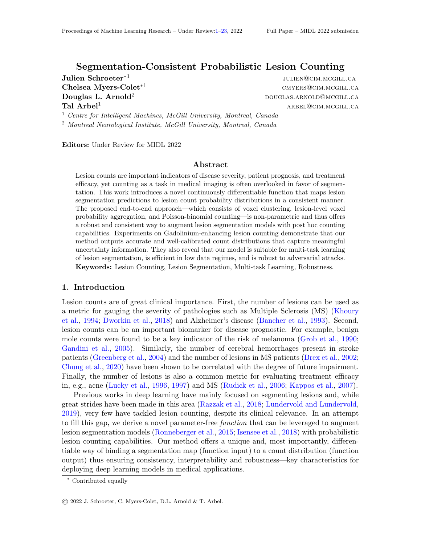## 3.2. Backpropagating Count Information

The proposed Poisson-binomial lesion counting function is comprised solely of continuously dierentiable operations. As a result, count information can easily be backpropagated through the function, and thus lesion count annotations c can be leveraged to train the model parameters in addition to standard segmentation labels.

To that end, a loss function comparing the count label c with the estimated count distribution C has to rst be de ned. The standard Kullback-Leibler divergence (Kullback and Leibler, 1951) between the estimated count distributionC and the Dirac distribution of the count labels  $1_c$  is a straightforward and e ective choice in this setting, i.e.,

L( ) = D<sub>KL</sub> (
$$
\binom{P}{k}
$$
 B(max<sub>i:vi</sub>2R<sub>k</sub> p (V<sub>i</sub> = 1)) k1<sub>c</sub>) = log(p(C = c j X)) : (4)

This expression is equivalent to the standard cross-entropy loss function where the bins of the estimated count distribution are viewed as independent classes.

Gradient Sparsity Although theoretically sound, the aggregation of voxel probabilities into a few lesion existence probabilities using a lesion-wide max-operation has for e ect to produce sparse gradients. Indeed, only a tiny fraction of the voxels constituting the segmentation map (i.e., the maximum of each lesion candidate) might ultimately have non-zero gradient when backpropagating count information. While gradient sparsity can sometimes harm the learning process (Henderson and Ferrari, 2016), experiments in Section 4.2 will show quite the contrary thanks to the high correlation between neighboring voxels.

Segmentation Pre-training Lesion counts are a weak source of information: they do not hold any information about the appearance, shape, or location of lesions. In terms of training, the quality of the signal provided by count labels is thus intrinsically bounded by the knowledge already assimilated by the segmentation model. For instance, the count-based gradients of a randomly initialized segmentation model can be expected to be extremely noisy, if not misleading. A stable learning procedure will therefore necessitate pre-training of the model using segmentation annotations.

## 4. Experiments and Results

Gadolinium-enhancing (Gad) lesions have been shown to be an important biomarker of disease activity in Multiple Sclerosis (McFarland et al., 1992). In this section, we thus assess the e ectiveness of our approach on the clinically-relevant task of Gad lesion counting.

Dataset We use a large multi-centre, multi-scanner proprietary dataset comprised of MRI scans from 1067 patients undergoing a clinical trial to treat Relapsing Remitting MS as described in (Karimaghaloo et al., 2016). The input data and training labels consist of ve 3D brain MRI sequences (e.g., T1-weighted and T1-weighted with gadolinium contrast agent) and expert Gad lesion masks respectively. Patients were split into non-overlapping train  $(60%)$ , validation  $(20%)$  and test  $(20%)$  sets. (See Appendix B.2 for details.)

Baseline Segmentation Model As backbone for lesion segmentation, we use a 5-layer UNet (Ronneberger et al., 2015; Isensee et al., 2018) with instance normalization, leakyReLU activation, and dropout trained using Adam and cross entropy loss. (See code for details)

<sup>1.</sup> https://github.com/SchroeterJulien/MIDL-2022-Segmentation-Consistent-Lesion-Counting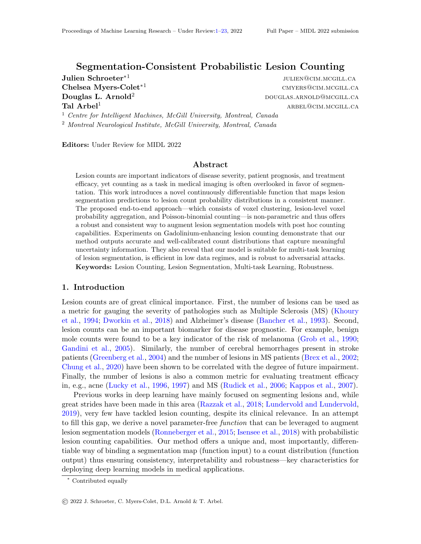

Figure 2: Post-hoc results. (eft) Threshold sensitivity. Count predictions for test sample # 286 with two potential lesions; CC infers a threshold-dependent scalar count, while our method infers a count distribution. (right ) Quality of the uncertainty estimate. Overall, the more certain (lower normalized entropy) our method is, the more accurate it is.

## 4.1. Post hoc Lesion Counting

Our model can be applied directly to the segmentation output of a trained segmentation model as a post hoc counting function during inference. In this section, we compare the e ectiveness of our approach against the standard connected component-based method (see Section 2). To do so, the baseline segmentation model|described above|is rst trained during 115 epochs. The segmentation outputs of the test samples are then mapped to count predictions either by counting the number of connected components on a binarized version of the segmentation outputs (CC) or by using our counting function (Ours) .

Counting Performance While both methods exhibit comparable performance (i.e., count accuracy of around 90%) for higher binarization thresholds , experiments reveal that our model is much morerobust to variations in this hyperparameter (full quantitative results in Section  $C.1$ ). Indeed, the count accuracy of our approach appears almost constant, while the performance of CC degrades signi cantly for lower thresholds (e.g.69% accuracy at  $=0:1$ ). Above all, the sensitivity of the connected component benchmark underlines the high fragility of its count predictions as illustrated in Figure 2 (left) where a small change in threshold leads to a drastically di erent count prediction. In contrast, the count distribution inferred by our model for the same example captures well the ambiguity present in the segmentation map (here, most likely one lesion, potentially two). Overall, the probabilistic nature of our approach allows to extract more information from the segmentation map, while making the predictions implicitly more robust to the binarization threshold.

Uncertainty Conveyance Uncertainty quantication is key in the medical domain. We thus measure the entropy of all count distributions inferred by our model. Since scalar predictions do not intrinsically convey any uncertainty information, we use Monte Carlo dropout (Gal and Ghahramani, 2016) to estimate a comparable metric for the connectedcomponent benchmark. This process does however not yield fully satisfactory results since the dropout-based sampling does often not produce large enough changes in the segmen-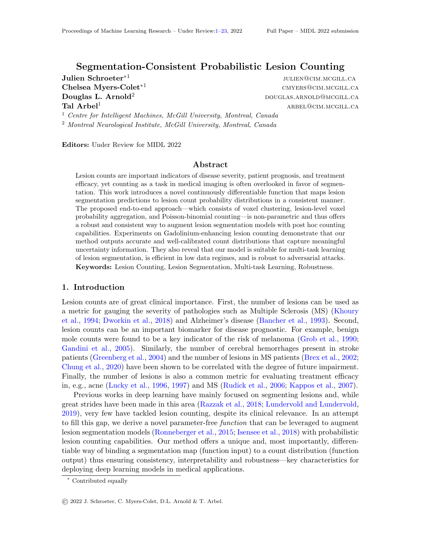### Segmentation-Consistent Probabilistic Lesion Counting

|                   | Counting |      | Segmentation |      |            | <b>Robustness</b> |       |
|-------------------|----------|------|--------------|------|------------|-------------------|-------|
| Method            | Acc.     | F1   | F1           | ECE  | <b>MCE</b> | SR                | AD    |
| <b>Bottleneck</b> | 87.6     | 67.3 | 69.3         | 8.05 | 0.363      | 86.1              | 74.76 |
| Multi-Head        | 88.7     | 70.8 | 68.4         | 3.64 | 0.213      | 24.7              | 21.80 |
| Downstream        | 86.7     | 64.2 | 62.0         | 9.51 | 0.160      | 14.4              | 12.43 |
| Ours (Multi-task) | 88.3     | 70.8 | 66.2         | በ 72 | 0 077      | 81                | 7 07  |

Table 1: Performance comparison of our model and benchmarks in the multi-task setup. Reported metrics: Counting: accuracy(Acc) and F1-score(F1) ; Segmentation: voxel-wise F1 score(F1), expected calibration error (ECE)  $[$  e <sup>5</sup>] and maximum calibration error (MCE) as de ned in (Guo et al., 2017); Robustness  $( =0.5)$ : proportion of attacks that successfully alter the count prediction (SR) and drop in count accuracy caused by the attacks(AD).

tation map to alter the count estimate (i.e., most samples ( 80%) always yield the same prediction despite the stochastic sampling). For comparison, we look at the evolution of both models' accuracy as the samples with the highest entropy are discarded (Figure (zight)). Most importantly, the monotone decreasing trend which can be observed demonstrates that the count distribution inferred by our model implicitly contains meaningful information about the uncertainty associated with a prediction. In addition, at very low entropy thresholds (i.e., when keeping only the most certain samples) our method reaches near 1%00 accuracy indicating that the model does not suer from overcondence, unlike CC. (These results are corroborated by the probability calibration analysis presented in Appendix C.2.)

## 4.2. Count-based Learning

Our function can also be used as **a** wer for backpropagating count information into segmentation models in a multi-task learning setting. To assess its e ectiveness against standard benchmarks, we adapt three common multi-task classication and segmentation models to the task of lesion counting and segmentation. For fairness, all models are built on top of the baseline segmentation model presented above, and hence only dier architecturally in the representations used as input to perform the count classication: (Bottleneck) bottleneck representations (Wang et al., 2018);(Multi-Head) representations taken after the second to last layer of a UNet (Mlynarski et al., 2019); (Downstream) segmentation maps as representations (Al-Masni et al., 2020). The same training protocol is introduced for all models: pre-training for 20 epochs on segmentation labels only before training in a multi-task setup for another 100 epochs using count-based gradients with gradually increasing weight and using the validation segmentation F1-score as stopping criterion. (See Appendix B.3 for architecture and training details.)

Multi-task Performance Our model and the multi-head benchmark display the best overall counting metrics (see Table 1). Moreover, all multi-task approaches|except the bottleneck one limprove the calibration (Guo et al., 2017) of the segmentation predictions in comparison to the baseline segmentation model  $MCE$  : 0.234) revealing that lesion counting acts as a relevant regularizer for segmentation learning when most parameters are shared. Finally, the 80% improvement in ECE of our model over the next best method underlines the merit of coupling the count estimate to the segmentation map for increased consistency.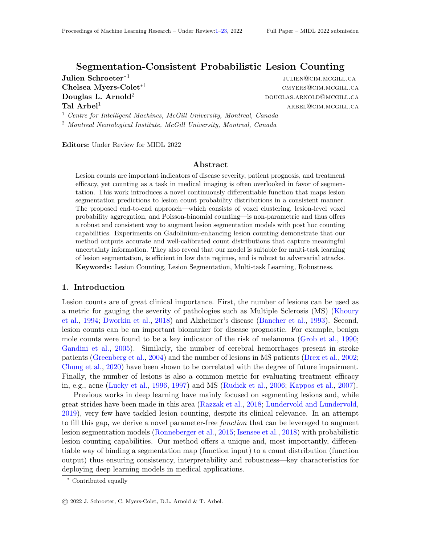Low Data Regimes Data scarcity is ubiquitous in medical imaging. To evaluate all models in a low data setting, we replicate the multi-task experiments using only 1% of the training samples. In this setup, all benchmarks|unlike our method|exhibit crippling convergence issues. Remarkably, applying our counting function post hoc on the output of the baseline segmentation model outperforms all approaches on all metrics (see Table C.2, in Appendix C.4), underlining the relevance of less parametrized models in low data regimes.

Robustness The addition of a small undetectable noise to the input shouldn't aect the predictions of a model intended for medical application. To assess the robustness of all models, we thus perform the following adversarial attack (Szegedy et al., 2013; Goodfellow et al.,  $2014$ ) on the count predictions:1) we freeze the models $2$ ) select an input sample and add a small random noise to it, 3) optimize the noise through gradient descent with the objective to fool the network (i.e., maximize entropy). We also include an  $l_2$ -regularization (with weight ) in an attempt to keep the input noise as small as possible.

Overall, our approach exhibits the strongest robustness to the adversarial attack with the downstream model trailing slightly behind (see Table 1). Since the added noise is negligible, the segmentation prediction is often unaected, and as a result the attack can be interpreted as an attack on the consistency between the count and segmentation outputs. This con rms the intuition that more highly parameterized models can more easily be misled to output contradictory predictions. In contrast, by coupling the count prediction to the segmentation map, our approach ensures greater consistency between the count estimate and the visual feedback provided by the segmentation, and thus is more trustworthy.

### 5. Discussion and Conclusion

In this work, we proposed a novel probabilistic model for lesion counting which can either be applied post hoc to augment segmentation models with counting capabilities or be integrated directly into the learning process in a multi-task setting. As shown through experiments on GAD lesion counting, our method outshines the commonly-used connected-component benchmark by providing well calibrated probability distributions that implicitly capture the uncertainty of the predictions. In the multi-task setup, our approach not only achieved strong counting performance but, above all, displayed the best noise robustness. Since trustworthiness and reliability are key in medical applications, our method thus oers a strong alternative to existing models which can often be fooled by minor variations of the input.

Performance aside, our model has the unique characteristic of inferring counts that can be easily traced back to precise regions of the segmentation map. The novelty of directly coupling the count estimate to the segmentation map thus grants valuable visual feedback and interpretability for clinical review|a level of transparency that is hardly achievable for more parametrized models even with the help of additional heuristics such as Grad-CAM (Selvaraju et al., 2017). However, the underlying hard consistency between count and segmentation which confers our model great robustness and interpretability is also its Achilles heel. The counting method is only as strong as the segmentation model since the count predictions are designed to faithfully re
ect the content of the segmentation map and not to overturn its content (i.e., segmentation-consistent counting).

In summary, our counting approach o ers a good balance between counting capabilities, segmentation consistency, performance in low data regimes, robustness, and interpretability.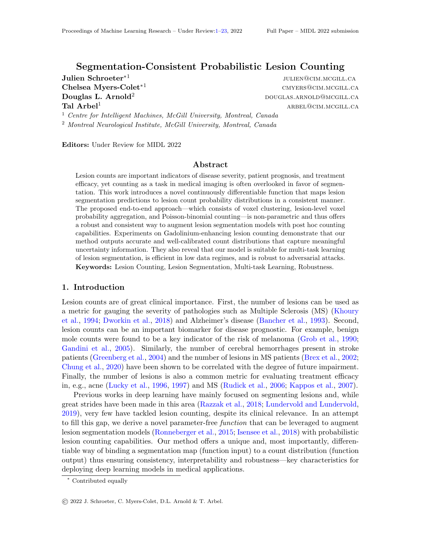## Acknowledgments

This investigation was supported by an award from the International Progressive MS Alliance (PA-1412-02420), the Canada Institute for Advanced Research (CIFAR) Arti cial Intelligence Chairs program (Arbel) and by the Canadian Natural Science and Engineering Research Council (CGSM-NSERC-2021-Myers-Colet). Supplementary computational resources were provided by Calcul Quebec, WestGrid, and Compute Canada. The authors would also like to thank Brennan Nichyporuk, Justin Szeto, Kirill Vasilevski, and Eric Zimmermann.

## References

- Mohammed A Al-Masni, Dong-Hyun Kim, and Tae-Seong Kim. Multiple skin lesions diagnostics via integrated deep convolutional networks for segmentation and classication. Computer methods and programs in biomedicine 190: 105351, 2020.
- Amine Amyar, Romain Modzelewski, Hua Li, and Su Ruan. Multi-task deep learning based ct imaging analysis for covid-19 pneumonia: Classication and segmentation.Computers in Biology and Medicine, 126:104037, 2020.
- Vibha Anand and Stephen M Downs. Probabilistic asthma case nding: a noisy or reformulation. In AMIA Annual Symposium Proceedings, volume 2008, page 6. American Medical Informatics Association, 2008.
- Samuel G Armato III, Georey McLennan, Luc Bidaut, Michael F McNitt-Gray, Charles R Meyer, Anthony P Reeves, Binsheng Zhao, Denise R Aberle, Claudia I Henschke, Eric A Homan, et al. The lung image database consortium (lidc) and image database resource initiative (idri): a completed reference database of lung nodules on ct scans.Medical physics, 38(2):915{931, 2011.
- Christian Bancher, Heiko Braak, Peter Fischer, and Kurt A Jellinger. Neuropathological staging of alzheimer lesions and intellectual status in alzheimer's and parkinson's disease patients. Neuroscience letters, 162(1-2):179{182, 1993.
- Michael Baumgartner, Paul F Jaeger, Fabian Isensee, and Klaus H Maier-Hein. nndetection: A self-con guring method for medical object detection. arXiv preprint arXiv:2106.00817, 2021.
- Brigid Betz-Stablein, Brian D'Alessandro, Uyen Koh, Elsemieke Plasmeijer, Monika Janda, Scott W Menzies, Rainer Hofmann-Wellenhof, Adele C Green, and H Peter Soyer. Reproducible naevus counts using 3d total body photography and convolutional neural networks. Dermatology, pages 1{8, 2021.
- Peter A Brex, Olga Ciccarelli, Jonathon I O'Riordan, Michael Sailer, Alan J Thompson, and David H Miller. A longitudinal study of abnormalities on mri and disability from multiple sclerosis. New England Journal of Medicine, 346(3):158{164, 2002.
- Eric Z Chen, Xu Dong, Xiaoxiao Li, Hongda Jiang, Ruichen Rong, and Junyan Wu. Lesion attributes segmentation for melanoma detection with multi-task u-net. In 2019 IEEE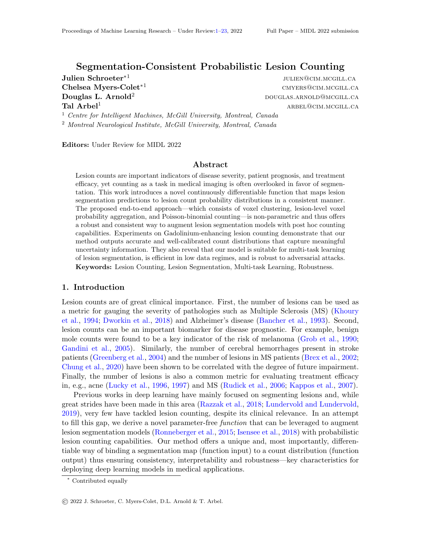16th International Symposium on Biomedical Imaging (ISBI 2019), pages 485{488. IEEE, 2019.

- Karen K Chung, Daniel Altmann, Frederik Barkhof, Katherine Miszkiel, Peter A Brex, Jonathan O'Riordan, Michael Ebner, Ferran Prados, M Jorge Cardoso, Tom Vercauteren, et al. A 30-year clinical and magnetic resonance imaging observational study of multiple sclerosis and clinically isolated syndromesAnnals of neurology, 87(1):63{74, 2020.
- Olivier Commowick, Frederic Cervenansky, Francois Cotton, and Michel Dojat. Msseg-2 challenge proceedings: Multiple sclerosis new lesions segmentation challenge using a data management and processing infrastructure. InMICCAI 2021-24th International Conference on Medical Image Computing and Computer Assisted Intervention pages 1{ 118, 2021.
- Can Cui, Karl Thurnhofer-Hemsi, Reza Soroushmehr, Abinash Mishra, Jonathan Gryak, Enrique Domnguez, Kayvan Najarian, and Ezequiel Lopez-Rubio. Diabetic wound segmentation using convolutional neural networks. In 2019 41st Annual International Conference of the IEEE Engineering in Medicine and Biology Society (EMBC), pages 1002{ 1005. IEEE, 2019.
- Timothy de Moor, Alejandro Rodriguez-Ruiz, Albert Gubern Merida, Ritse Mann, and Jonas Teuwen. Automated soft tissue lesion detection and segmentation in digital mammography using a u-net deep learning network.arXiv preprint arXiv:1802.06865, 2018.
- Florian Dubost, Hieab Adams, Pinar Yilmaz, Gerda Bortsova, Gijs van Tulder, M Arfan Ikram, Wiro Niessen, Meike W Vernooij, and Marleen de Bruijne. Weakly supervised object detection with 2d and 3d regression neural networks.Medical Image Analysis, 65: 101767, 2020.
- Jordan D Dworkin, Kristin A Linn, Ipek Oguz, Greg M Fleishman, Rohit Bakshi, Govind Nair, Peter A Calabresi, Roland G Henry, Jiwon Oh, Nico Papinutto, et al. An automated statistical technique for counting distinct multiple sclerosis lesions.American Journal of Neuroradiology, 39(4):626{633, 2018.
- Mitchell H Gail, Jay H Lubin, and Lawrence V Rubinstein. Likelihood calculations for matched case-control studies and survival studies with tied death times.Biometrika, 68 (3):703{707, 1981.
- Yarin Gal and Zoubin Ghahramani. Dropout as a bayesian approximation: Representing model uncertainty in deep learning. In international conference on machine learning, pages 1050{1059. PMLR, 2016.
- Sara Gandini, Francesco Sera, Maria Soa Cattaruzza, Paolo Pasquini, Damiano Abeni, Peter Boyle, and Carmelo Francesco Melchi. Meta-analysis of risk factors for cutaneous melanoma: I. common and atypical naevi.European journal of cancer, 41(1):28{44, 2005.
- Ian J Goodfellow, Jonathon Shlens, and Christian Szegedy. Explaining and harnessing adversarial examples.arXiv preprint arXiv:1412.6572 , 2014.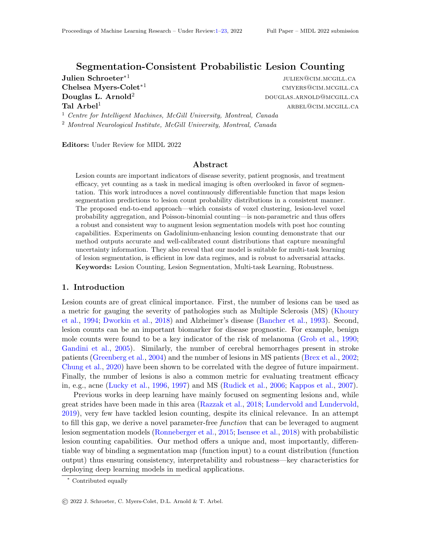- Steven M Greenberg, Jessica A Eng, MingMing Ning, Eric E Smith, and Jonathan Rosand. Hemorrhage burden predicts recurrent intracerebral hemorrhage after lobar hemorrhage. Stroke, 35(6):1415{1420, 2004.
- JJ Grob, J Gouvernet, D Aymar, A Mostaque, MH Romano, AM Collet, MC Noe, MP Diconstanzo, and JJ Bonerandi. Count of benign melanocytic nevi as a major indicator of risk for nonfamilial nodular and super cial spreading melanoma. Cancer, 66(2):387{395, 1990.
- Chuan Guo, Geo Pleiss, Yu Sun, and Kilian Q Weinberger. On calibration of modern neural networks. In International Conference on Machine Learning, pages 1321{1330. PMLR, 2017.
- Kay Thwe Min Han and Bunyarit Uyyanonvara. A survey of blob detection algorithms for biomedical images. In2016 7th International Conference of Information and Communication Technology for Embedded Systems (IC-ICTES) pages 57{60. IEEE, 2016.
- Xiao Han. Automatic liver lesion segmentation using a deep convolutional neural network method. arXiv preprint arXiv:1704.07239, 2017.
- Xiaoyang Han, Yuting Zhai, Ziqi Yu, Tingying Peng, and Xiao-Yong Zhang. Detecting extremely small lesions in mouse brain mri with point annotations via multi-task learning. In International Workshop on Machine Learning in Medical Imaging, pages 498{506. Springer, 2021.
- Paul Henderson and Vittorio Ferrari. End-to-end training of object class detectors for mean average precision. InAsian Conference on Computer Vision, pages 198{213. Springer, 2016.
- Susannah Howard. Discussion on Professor Cox's paper.Journal of the Royal Statistical Society, 34B(2):210{211, 1972.
- Abdelhameed Ibrahim and El-Sayed M El-kenawy. Image segmentation methods based on superpixel techniques: A survey.Journal of Computer Science and Information Systems, 15(3), 2020.
- Fabian Isensee, Jens Petersen, Andre Klein, David Zimmerer, Paul F Jaeger, Simon Kohl, Jakob Wasserthal, Gregor Koehler, Tobias Norajitra, Sebastian Wirkert, et al. nnu-net: Self-adapting framework for u-net-based medical image segmentation.arXiv preprint arXiv:1809.10486, 2018.
- Paul F Jaeger, Simon AA Kohl, Sebastian Bickelhaupt, Fabian Isensee, Tristan Anselm Kuder, Heinz-Peter Schlemmer, and Klaus H Maier-Hein. Retina u-net: Embarrassingly simple exploitation of segmentation supervision for medical object detection. InMachine Learning for Health Workshop, pages 171{183. PMLR, 2020.
- Ludwig Kappos, Mark S Freedman, Chris H Polman, Gilles Edan, Hans-Peter Hartung, David H Miller, Xavier Montalban, Frederik Barkhof, Ernst-Wilhelm Radu, Lars Bauer, et al. E ect of early versus delayed interferon beta-1b treatment on disability after a rst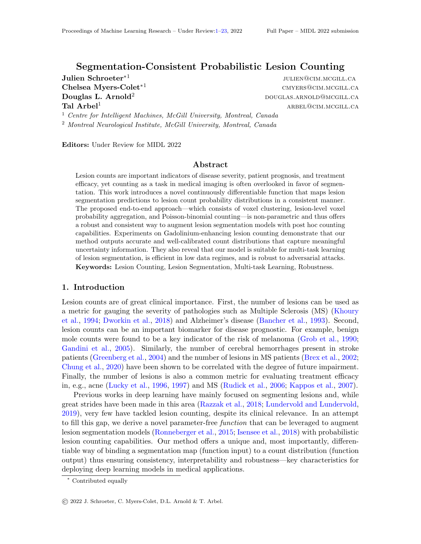clinical event suggestive of multiple sclerosis: a 3-year follow-up analysis of the bene t study. The Lancet, 370(9585):389{397, 2007.

- Zahra Karimaghaloo, Douglas L Arnold, and Tal Arbel. Adaptive multi-level conditional random elds for detection and segmentation of small enhanced pathology in medical images. Medical image analysis, 27:17{30, 2016.
- M Attique Khan, Tallha Akram, Muhammad Sharif, Kashif Javed, Muhammad Rashid, and Syed Ahmad Chan Bukhari. An integrated framework of skin lesion detection and recognition through saliency method and optimal deep neural network features selection. Neural Computing and Applications, 32(20):15929{15948, 2020.
- Muhammad Attique Khan, Muhammad Sharif, Tallha Akram, Robertas Damasevicius, and Rytis Maskeliunas. Skin lesion segmentation and multiclass classication using deep learning features and improved moth 
ame optimization. Diagnostics, 11(5):811, 2021.
- SJ Khoury, CRG Guttmann, EJ Orav, MJ Hohol, SS Ahn, L Hsu, R Kikinis, GA Mackin, FA Jolesz, and HL Weiner. Longitudinal mri in multiple sclerosis: correlation between disability and lesion burden. Neurology, 44(11):2120{2120, 1994.
- Diederik P Kingma and Jimmy Ba. Adam: A method for stochastic optimization. arXiv preprint arXiv:1412.6980, 2014.
- Solomon Kullback and Richard A Leibler. On information and suciency. The annals of mathematical statistics, 22(1):79{86, 1951.
- Thi-Lam-Thuy Le, Nicolas Thome, Sylvain Bernard, Vincent Bismuth, and Fanny Patoureaux. Multitask classication and segmentation for cancer diagnosis in mammography. arXiv preprint arXiv:1909.05397, 2019.
- Fangzhou Liao, Ming Liang, Zhe Li, Xiaolin Hu, and Sen Song. Evaluate the malignancy of pulmonary nodules using the 3-d deep leaky noisy-or network.IEEE transactions on neural networks and learning systems30(11):3484{3495, 2019.
- Anne W Lucky, Beth L Barber, Cynthia J Girman, Jody Williams, Joan Ratterman, and Joanne Waldstreicher. A multirater validation study to assess the reliability of acne lesion counting. Journal of the American Academy of Dermatology, 35(4):559{565, 1996.
- Anne W Lucky, Tabitha A Henderson, William H Olson, Denise M Robischb, Mark Lebwohl, and Leonard J Swinyer. Eectiveness of norgestimate and ethinyl estradiol in treating moderate acne vulgaris. Journal of the American Academy of Dermatology, 37(5):746{ 754, 1997.
- Alexander Selvikag Lundervold and Arvid Lundervold. An overview of deep learning in medical imaging focusing on mri. Zeitschrift for Medizinische Physik, 29(2):102{127, 2019.
- Henry F McFarland, Joseph A Frank, Paul S Albert, Mary E Smith, Roland Martin, Jonathan O Harris, Nicholas Patronas, Heidi Maloni, and Dale E McFarlin. Using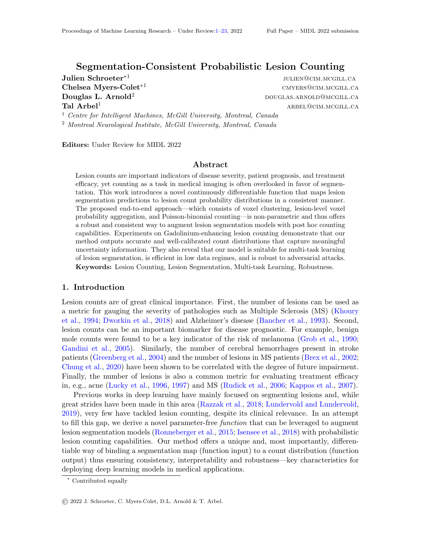gadolinium-enhanced magnetic resonance imaging lesions to monitor disease activity in multiple sclerosis. Annals of neurology, 32(6):758{766, 1992.

- Bjoern H Menze, Andras Jakab, Stefan Bauer, Jayashree Kalpathy-Cramer, Keyvan Farahani, Justin Kirby, Yuliya Burren, Nicole Porz, Johannes Slotboom, Roland Wiest, et al. The multimodal brain tumor image segmentation benchmark (brats). IEEE transactions on medical imaging, 34(10):1993{2024, 2014.
- Pawel Mlynarski, Herve Delingette, Antonio Criminisi, and Nicholas Ayache. Deep learning with mixed supervision for brain tumor segmentation. Journal of Medical Imaging, 6(3): 034002, 2019.
- Takahiro Nakao, Shouhei Hanaoka, Yukihiro Nomura, Issei Sato, Mitsutaka Nemoto, Soichiro Miki, Eriko Maeda, Takeharu Yoshikawa, Naoto Hayashi, and Osamu Abe. Deep neural network-based computer-assisted detection of cerebral aneurysms in mr angiography. Journal of Magnetic Resonance Imaging, 47(4):948{953, 2018.
- Agnieszka Onisko, Marek J Druzdzel, and Hanna Wasyluk. Learning bayesian network parameters from small data sets: Application of noisy-or gates.International Journal of Approximate Reasoning, 27(2):165{182, 2001.
- Judea Pearl. Probabilistic reasoning in intelligent systems: networks of plausible inference. Morgan kaufmann, 1988.
- Lea Marie Pehrson, Michael Bachmann Nielsen, and Carsten Ammitzb I Lauridsen. Automatic pulmonary nodule detection applying deep learning or machine learning algorithms to the lidc-idri database: a systematic review. Diagnostics, 9(1):29, 2019.
- Muhammad Imran Razzak, Saeeda Naz, and Ahmad Zaib. Deep learning for medical image processing: Overview, challenges and the future Classi cation in BioApps, pages 323{ 350, 2018.
- Olaf Ronneberger, Philipp Fischer, and Thomas Brox. U-net: Convolutional networks for biomedical image segmentation. InInternational Conference on Medical image computing and computer-assisted intervention, pages 234{241. Springer, 2015.
- Sebastian Ruder. An overview of multi-task learning in deep neural networksarXiv preprint arXiv:1706.05098, 2017.
- Richard A Rudick, Jar-Chi Lee, Jack Simon, and Elizabeth Fisher. Signicance of t2 lesions in multiple sclerosis: a 13-year longitudinal study. Annals of Neurology: Ocial Journal of the American Neurological Association and the Child Neurology Society60(2):236{242, 2006.
- Mostafa Salem, Mariano Cabezas, Sergi Valverde, Deborah Pareto, Arnau Oliver, Joaquim Salvi, Alex Rovira, and Xavier Llado. A supervised framework with intensity subtraction and deformation eld features for the detection of new t2-w lesions in multiple sclerosis. NeuroImage: Clinical, 17:607{615, 2018.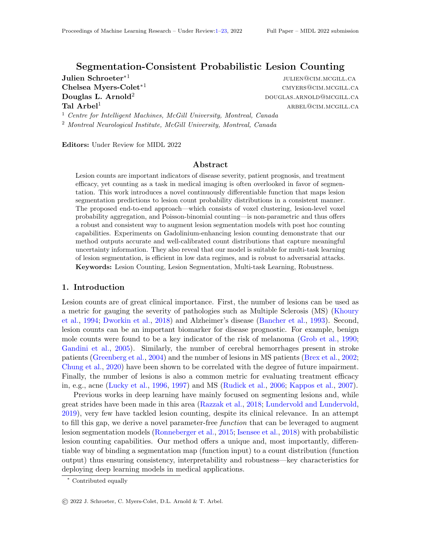- Julien Schroeter, Kirill Sidorov, and David Marshall. Weakly-supervised temporal localization via occurrence count learning. In Proceedings of International Conference on Machine Learning (ICML) , pages 5649{5659, 2019.
- Ramprasaath R Selvaraju, Michael Cogswell, Abhishek Das, Ramakrishna Vedantam, Devi Parikh, and Dhruv Batra. Grad-cam: Visual explanations from deep networks via gradient-based localization. InProceedings of the IEEE international conference on computer vision, pages 618{626, 2017.
- Christian Szegedy, Wojciech Zaremba, Ilya Sutskever, Joan Bruna, Dumitru Erhan, Ian Goodfellow, and Rob Fergus. Intriguing properties of neural networks. arXiv preprint arXiv:1312.6199, 2013.
- Saeid Asgari Taghanaki, Kumar Abhishek, Joseph Paul Cohen, Julien Cohen-Adad, and Ghassan Hamarneh. Deep semantic segmentation of natural and medical images: a review. Articial Intelligence Review , 54(1):137{178, 2021.
- Kimberley M Timmins, Irene C van der Schaaf, Edwin Bennink, Ynte M Ruigrok, Xingle An, Michael Baumgartner, Pascal Bourdon, Riccardo De Feo, Tommaso Di Noto, Florian Dubost, et al. Comparing methods of detecting and segmenting unruptured intracranial aneurysms on tof-mras: The adam challengeNeuroImage, page 118216, 2021.
- Philipp Tschandl, Christoph Sinz, and Harald Kittler. Domain-speci c classi cationpretrained fully convolutional network encoders for skin lesion segmentation.Computers in biology and medicine, 104:111{116, 2019.
- Dayong Wang, Aditya Khosla, Rishab Gargeya, Humayun Irshad, and Andrew H Beck. Deep learning for identifying metastatic breast cancer.arXiv preprint arXiv:1606.05718, 2016.
- Puyang Wang, Vishal M Patel, and Ilker Hacihaliloglu. Simultaneous segmentation and classication of bone surfaces from ultrasound using a multi-feature guided cnn. InInternational conference on medical image computing and computer-assisted intervention, pages 134{142. Springer, 2018.
- Yuan H Wang. On the number of successes in independent trialsStatistica Sinica, pages 295{312, 1993.
- Lequan Yu, Hao Chen, Qi Dou, Jing Qin, and Pheng-Ann Heng. Automated melanoma recognition in dermoscopy images via very deep residual networks. E.E. transactions on medical imaging, 36(4):994{1004, 2016.
- Yue Zhou, Houjin Chen, Yanfeng Li, Qin Liu, Xuanang Xu, Shu Wang, Pew-Thian Yap, and Dinggang Shen. Multi-task learning for segmentation and classication of tumors in 3d automated breast ultrasound images.Medical Image Analysis, 70:101918, 2021.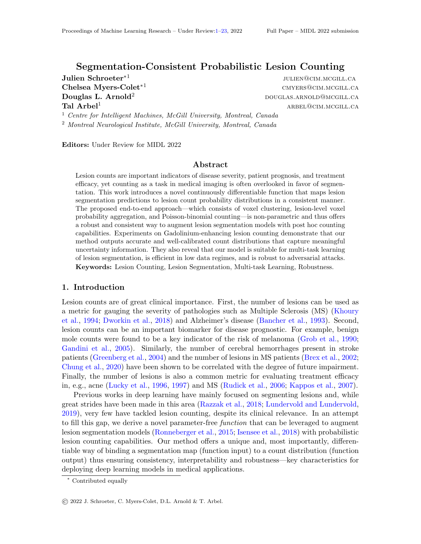# Appendix A. Discussion of Model Assumptions

It is important to understand the assumptions underlying our model to better grasp its limitations and scope of application.

(Assumption 1) Our approach relies on the assumption that the lesion candidates can be identied from one another. Indeed, in our model, each lesion candidate can only contribute a maximum of 1 to the nal count. For instance, the model will implicitly consider two lesions that fall within the same candidate region as one. While this assumption is automatically met in applications where lesions aresparsely scattered in space (e.g., lung nodules (Armato III et al., 2011), skin cancer (Yu et al., 2016; Khan et al., 2021, 2020), Gad lesions (Karimaghaloo et al., 2016)), it can be violated in applications with almost intertwined lesions (e.g., T2-weighted lesions (Salem et al., 2018)). In such case, the clustering can however be adapted to better capture the users de nition of what constitutes one distinctive lesion.

(Assumption 2) The derivation of the lesion existence probabilities (Equation 2) introduced the assumption that, for each lesion candidate, there exists individual voxels that have no uncertainty about belonging to the lesion if it actually exists. Overall, this simpli cation captures well enough the situation in most standard lesion segmentation applications (e.g., brain tumors (Menze et al., 2014), lung nodules (Armato III et al., 2011), skin cancer (Yu et al., 2016; Khan et al., 2021, 2020), Gad lesions (Karimaghaloo et al., 2016), new T2-weighted lesions (Commowick et al., 2021)). This assumption can be more signi cantly violated in rare applications with extremely thin or tiny lesions. Indeed, in such settings, all voxels of a lesion|even the centermost ones|might be at the edge of the lesion, and thus all voxels might be suject to boundary uncertainty (i.e., the question "is the voxel outside of the lesion boundary if the lesion actually exists?" cannot be answered de nitively).

(Assumption 3) Our approach also assumes that the voxel probabilities only depend on their assigned regions (i.e.,  $V_i$ ? R<sub>k</sub>; 8i 2 f i j  $v_i$   $\geq R_k g$ ). This condition is rather weak in applications that ful II Assumption 1. Indeed, if lesions are sparsely scattered in space then there is no ambiguity about the assignment of high probability voxels to candidate regions (i.e., no hesitation about assigning a voxel to two dierent regions). In such setups, the assumption weakens to:

$$
R_i \cdot P R_k; 8i \in k: \tag{5}
$$

In other words, this assumption states that the existence of lesions are independent from one another, e.g., if the existence of a lesion  $i\mathbb{R}_1$  came to be known, then it would have no impact on our assessment oR<sub>k</sub>. While it is di cult to determine the extent of the validity of this assumption in practice, this condition is at the center of the classical noisy-OR model, e.g., lung nodules (Liao et al., 2019).

As with any model, shifts from these underlying assumptions have to be considered with care, but they do not necessarily prevent the use of this approach.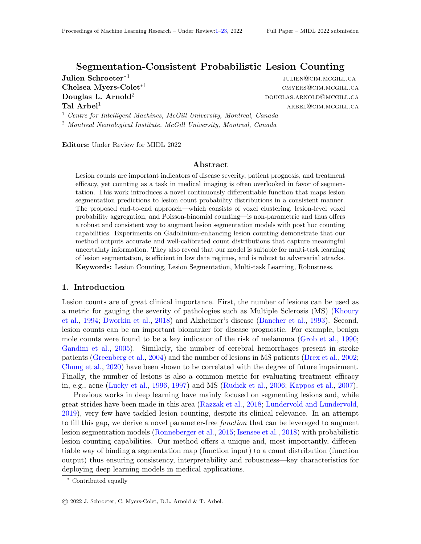Figure B.1: Baseline segmentation UNet architecture. Dotted lines represent skip connections. Numbers underneath convolutional blocks indicate the number of lters at each level. The downward facing arrows show the representations used as input for the counting benchmarks (i.e., bottleneck, multi-head, downstream).

## Appendix B. Experiment Speci cations

## B.1. Model Architecture and Training

The architecture of the segmentation model is depicted in see Figure B.1. Overall, it follows the standard UNet paradigm (Ronneberger et al., 2015; Isensee et al., 2018). The model was trained with a binary cross entropy loss with a weight of 3.0 given to the positive (lesion) class to account for class imbalance without destabilizing training. We consider count as a classication problem, and thus use count bins for training (i.e., 0, 1, 2, 3 and 4+). The Adam optimizer was used with a learning rate of  $\texttt{t}$   $\texttt{t}$ , a weight decay factor of  $\texttt{t}$   $\texttt{t}$ , = 1e  $^8$  and ( $_1$ ;  $_2$ ) = (0:9; 0:999). An exponential scheduler was used with a decay of 0:995. (Exceptionally for the multi-head benchmark, a learning rate of  $t e^{-5}$  for the count head parameters was needed to avoid convergence issues.) All benchmark counting models were trained using the following scheme: we rst pre-train a segmentation UNet for 20 epochs as required by Section 3.2 after which we weigh the counting loss using e  $(e^{p}$ och 20) with = 0:001 and = 0:06 which were chosen through trial and error. Models are selected based on validation segmentation F1 score.

## B.2. Dataset

Our dataset consists of MRI scans from 1067 patients undergoing a clinical trial to treat Relapsing Remitting Multiple Sclerosis (RRMS). Each patient was monitored for up to three years with annual scans. We consider one scan to be a single data sample for our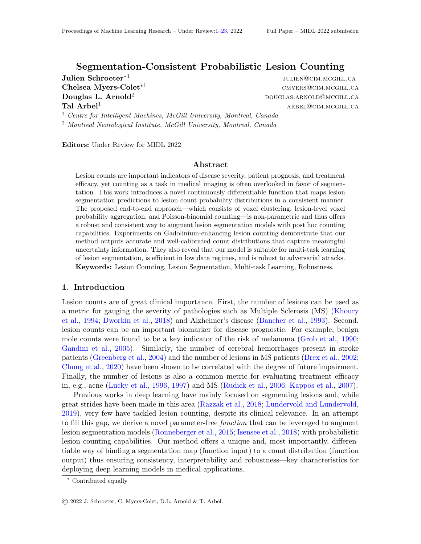| Threshold |                       | $= 0:1$      | 0.2          | 0:3          | 0:4          | 0.5               | 0:6          | 0.7          | 0.8          | 0.9          |
|-----------|-----------------------|--------------|--------------|--------------|--------------|-------------------|--------------|--------------|--------------|--------------|
| Accuracy  | CС<br>Ours            | 69.2<br>86.3 | 75.7<br>86.3 | 80.7<br>86.5 | 83.6<br>86.5 | 85.8<br>86.0      | 87.6<br>87.8 | 90.3<br>90.3 | 90.1<br>90.1 | 86.2<br>86.2 |
| F1-score  | CC<br>Ours            | 54.2<br>74 1 | 60.5<br>74 2 | 64.5<br>74.5 | 68.4<br>74.5 | 71.4<br>72.7 74.2 | 73.7         | 78.1<br>78.1 | 75.3<br>75.3 | 65.4<br>65.4 |
| Precision | <sub>CC</sub><br>Ours | 50.9<br>71 7 | 57.0<br>71 9 | 60.9<br>72.3 | 65.2<br>72.1 | 68.5<br>69.9      | 71.6<br>72.2 | 77.0<br>77.0 | 76.1<br>76.1 | 70 1<br>70.1 |
| Recall    | CC<br>Ours            | 61.9         | 66.9         | 69.9<br>78.2 | 73.0<br>78.2 | 75.4<br>76.3      | 76.3<br>76.5 | 79.5<br>79.5 | 74 6<br>74.6 | 62.5<br>62.5 |

Table C.1: Performance sensitivity to binarization threshold . Test accuracy, class-average F1-score, precision and recall are reported. Note that across metrics, our method is stable.

network. To ensure no patient appears in more than one dataset, we split by patient before separating samples into annual scans. Thus, a patient may appear up to three times in one set, depending on the number of annuals scans they underwent. The Gad lesion masks were independently produced by two raters who then agree to a consensus. Per patient Gad lesion counts are derived directly from the lesion masks. We dier slightly from Karimaghaloo et al. (2016) in our preprocessing. Here, the data was padded and cropped to be 64192

192, skull-stripped, denoised and standardized. We provide our models with ve MRI sequences, namely T1-weighted, T1-weighted with gadolinium contrast agent, T2-weighted, Fluid Attenuated Inverse Recovery, and Proton Density weighted.

### B.3. Benchmarks

The UNet architecture is depicted in Figure B.1 with the input to each of the multi-task networks indicated. The counting networks consist of fully convolutional networks of 3 (bottleneck) or 7 layers (multi-head, downstream). The bottleneck convolutional blocks are made up of a ReLU, a 3D convolution, an average pooling followed by a dropout layer (except in the last block before the output). Similarly, for the deeper models, each convolutional block is made up of an extra ReLU and 3D convolution layer before following the same architecture as the bottleneck blocks.

## Appendix C. Additional Results

### C.1. Threshold Sensitivity

Table C.1 shows the full results for both our method (applied post hoc on the outputs of the segmentation model) and the connected components benchmark at various thresholds. Across all reported metrics, the connected components approach is entirely dependent on the binarization threshold in the [0:0; 0:5] range where we note large changes in performance. By contrast, our method is much more stable throughout the entire range of thresholds.

This is further shown in the confusion matrices of the methods at three sample thresholds (Figure C.2). Again, our method is considerably more consistent across the dierent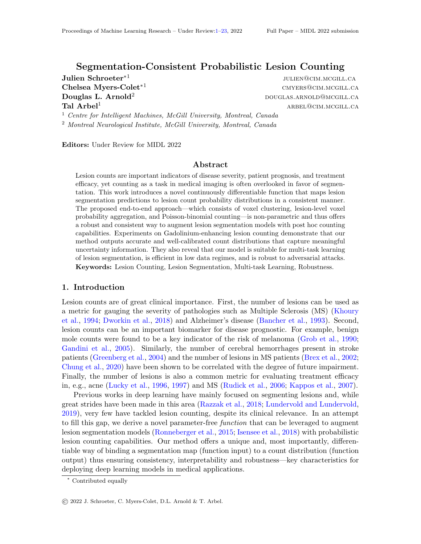Figure C.2: Confusion matrices comparing post hoc methods at various thresholds

thresholds than connected components, whose performance decreases at a lower threshold, most notably in the confusion across classes 2, 3 and 4.

## C.2. Probability Calibration

In contrast to the connected component benchmark which outputs scalar count predictions, our method produces count distribution. The calibration curve (Guo et al., 2017) in Figure C.3 reveals that the probabilities inferred by our model are well-calibrated demonstrating, above all, the merit of the lesion-level maximum voxel aggregation derived in Section 3.1.2. It also shows that our method conveys meaningful additional information whereas the connected component has only two possible condence values (0 or 1). For instance, in Figure 2 (left) , our approach expresses the potential existence of a second lesion in the segmentation map, while the benchmark makes a hard threshold-dependent decision.

## C.3. Uncertainty Conveyance

As our method outputs a probability distribution, we can obtain an uncertainty estimate for each sample by evaluating it's entropy. To compare against connected components, we generate samples of the segmentation map using MC Dropout (Gal and Ghahramani, 2016) and evaluate the count independently on each sample to obtain a count distribution. We use a threshold of  $= 0.5$  for the connected components benchmark. For this experiment, we use 50 MC Dropout samples. Figure  $C.4$  shows the result of thresholding the predictions based on entropy. When we keep only the least uncertain test samples (Figure C.4b), our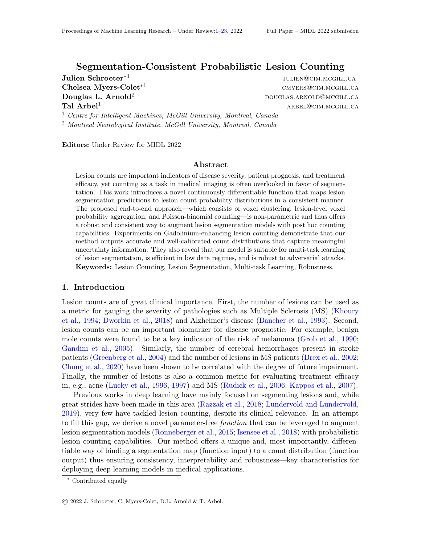Figure C.3: Count calibration at various thresholds for CC and for our method at  $= 0.1$ .

model achieves an accuracy of 100%, unlike the connected components approach. Furthermore, though both methods have the majority of their predictions with entropy close to 0, our method has considerably fewer samples with 0 entropy while also producing a greater variability (see gure C.5). Most notably, our method produces greater uncertainty values when it is incorrect with very few incorrect samples having low uncertainty. By contrast, the connected components approach produces a similar entropy distribution for both correct and incorrect samples. Both of these results coupled together show that our method is correct when it is certain and also maintains the ability to produce meaningful uncertainty values.

- (a) Accuracy evaluation on most uncertain samples
- (b) Accuracy evaluation on least uncertain samples

Figure C.4: Accuracy as a function of uncertainty.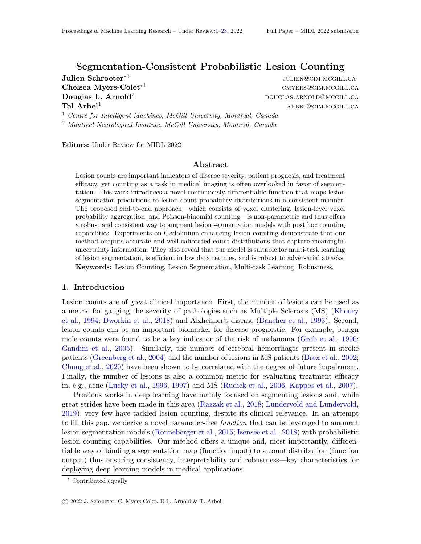|                   | Counting |          | Segmentation |                  |            |  |
|-------------------|----------|----------|--------------|------------------|------------|--|
| Method            | Accuracy | F1-score | F1-score     | 5)<br>e<br>ECE ( | <b>MCE</b> |  |
| <b>Bottleneck</b> | 76.6     | 41.5     | 66.7         | 6.13             | 0.306      |  |
| Multi-Head        | 80.8     | 47.6     | 58.0         | 5.13             | 0.276      |  |
| Downstream        | 82.9     | 54.4     | 59.2         | 1.64             | 0.119      |  |
| Ours (Multi-task) | 86.0     | 65.1     | 58.4         | 2.70             | 0.524      |  |
| Ours (Post hoc)   | 86.5     | 70.9     | 68.2         | 0.95             | 0.116      |  |

Table C.2: Low data regime count and segmentation performance. Segmentation metrics are reported voxel-wise.

(a) Ours (Post hoc) (b) Connected components (MC Dropout)

Figure C.5: Distribution of entropy values for correctly and incorrectly classied samples.

## C.4. Low Data Regimes

We train our models with only 10% of the training data (i.e. 167 samples) to assess their perform when data is scarce. The results are summarized in Table C.2. Our method, both post hoc and multi-task versions, achieves the highest count accuracy and F1-score.

## C.5. Adversarial Attacks

Experiment Setup The goal of the adversarial attack experiment is to change the count predictions outputted by the multi-task models, while making minimal changes to the input. To do so, we add a noise parameter to the inputs which we train tomaximize the cross entropy between the label and the prediction. During the attacks, all models are frozen. For every test sample, we initialize a noise parameter with a random Gaussian noise with zero mean and a standard deviation of  $\bullet$  <sup>5</sup>. We use the Adam optimizer (Kingma and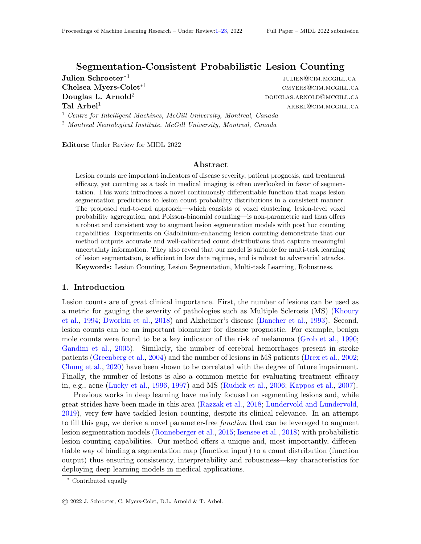### Segmentation-Consistent Probabilistic Lesion Counting

| $l_2$ -reg. |                   | Accuracy<br>After | Accuracy<br>Drop | <b>Success</b><br>Rate |
|-------------|-------------------|-------------------|------------------|------------------------|
| $= 0:1$     | <b>Bottleneck</b> | 2.3               | 84.51            | 97.4                   |
|             | Multi-Head        | 64.8              | 23.33            | 26.5                   |
|             | Downstream        | 65.4              | 20.65            | 24.0                   |
|             | Ours              | 75.1              | 12.62            | 14.4                   |
| $= 0:5$     | <b>Bottleneck</b> | 12.0              | 74.76            | 86.1                   |
|             | Multi-Head        | 66.3              | 21.80            | 24.7                   |
|             | Downstream        | 73.6              | 12.43            | 14.4                   |
|             | Ours              | 80.7              | 7.07             | 8.1                    |
| $= 0:9$     | <b>Bottleneck</b> | 17.8              | 69.02            | 79.5                   |
|             | Multi-Head        | 67.5              | 20.65            | 23.4                   |
|             | Downstream        | 77.1              | 8.99             | 10.4                   |
|             | Ours              | 83.9              | 3.82             | 4.4                    |

Table C.3: Full adversarial attack results on all multi-task models. Success rate is calculated as percentage of attacks that successfully altered the prediction

Ba, 2014) with a learning rate of  $1e^{-4}$ . We limit our attacks to samples with a count label of 4 or less. This is because our last classication bin includes all counts from 4 to 65 (the maximum count in the dataset). For large counts, it would not be practical to attempt to change the prediction as it would need to decrease to a count of 3. Nevertheless, we include results on 523 out of 556 test samples. Finally, we train until the count prediction no longer matches the label (success) or until 500 epochs have passed (failure).

Regularization In order to limit the changes made to the input and to the resultant segmentation map (i.e. we do not want to articially add a lesion and penalize the model for increasing the count), we add an  $2$ -regularization on the change in the segmentation map. This regularization is weighted by parameter (see Table  $C.3$ ). Furthermore, without regularization, the noise parameter is unbounded and could potentially create meaningless inputs and by extension incorrect count predictions on all models. It is therefore important to keep the additive noise as small as possible to ensure the ground truth label remains true. As can be seen in Figure C.6, both the noise itself and the change in the segmentation prediction remains small.

Results We run our adversarial attacks with several levels of regularization. As can be seen in Table C.3, our method is the least susceptible to this type of adversarial attack regardless of the amount of regularization.

Figure C.6 shows exemplary samples that have been altered by an adversarial attack to change the predicted count. We display the subtraction of the post-contrast and precontrast T1-weighted MRI both before and after the adversarial attack. Note the subtlety of the changes which have been applied. The samples for each model were chosen using the same criterion: (1) calculate the maximum change in the segmentation map and (2) select the sample with the smallest maximum. On a per sample basis, the maximum discrepancy in the segmentation map indicates what the adversarial attack targeted. However, by selecting the image with the minimum discrepancy, we can show how easily each model was fooled.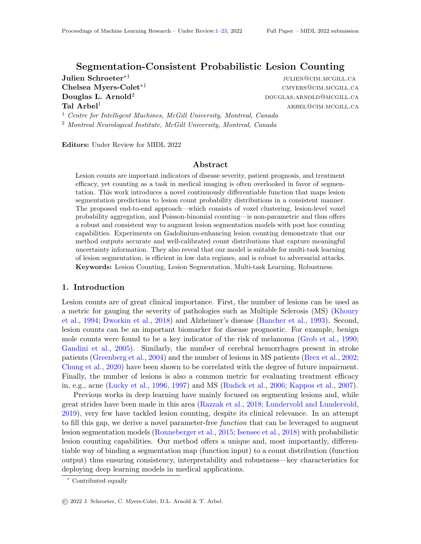Since our method allows us to map from count to segmentation, we know exactly which voxels are responsible for the change in count prediction. As shown in Figure C.6 (bottom right), a slight increase in the depicted voxel probability resulted in an increased count prediction. Ours is the only method to oer this level of transparency.